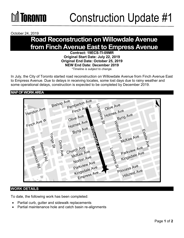

October 24, 2019

### **Road Reconstruction on Willowdale Avenue from Finch Avenue East to Empress Avenue**

**Contract: 19ECS-TI-09MR Original Start Date: July 22, 2019 Original End Date: October 25, 2019 NEW End Date: December 2019** *\*Timeline is subject to change.*

In July, the City of Toronto started road reconstruction on Willowdale Avenue from Finch Avenue East to Empress Avenue. Due to delays in receiving locates, some lost days due to rainy weather and some operational delays, construction is expected to be completed by December 2019.

**MAP OF WORK AREA**



#### **WORK DETAILS**

To date, the following work has been completed:

- Partial curb, gutter and sidewalk replacements
- Partial maintenance hole and catch basin re-alignments